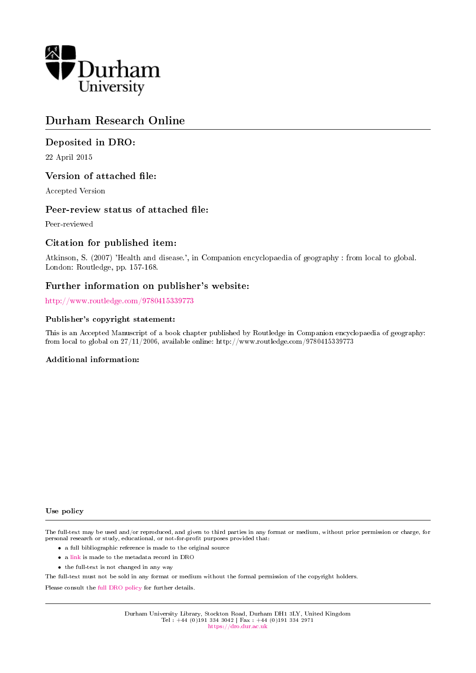

# Durham Research Online

# Deposited in DRO:

22 April 2015

# Version of attached file:

Accepted Version

# Peer-review status of attached file:

Peer-reviewed

# Citation for published item:

Atkinson, S. (2007) 'Health and disease.', in Companion encyclopaedia of geography : from local to global. London: Routledge, pp. 157-168.

# Further information on publisher's website:

<http://www.routledge.com/9780415339773>

### Publisher's copyright statement:

This is an Accepted Manuscript of a book chapter published by Routledge in Companion encyclopaedia of geography: from local to global on 27/11/2006, available online: http://www.routledge.com/9780415339773

### Additional information:

#### Use policy

The full-text may be used and/or reproduced, and given to third parties in any format or medium, without prior permission or charge, for personal research or study, educational, or not-for-profit purposes provided that:

- a full bibliographic reference is made to the original source
- a [link](http://dro.dur.ac.uk/15215/) is made to the metadata record in DRO
- the full-text is not changed in any way

The full-text must not be sold in any format or medium without the formal permission of the copyright holders.

Please consult the [full DRO policy](https://dro.dur.ac.uk/policies/usepolicy.pdf) for further details.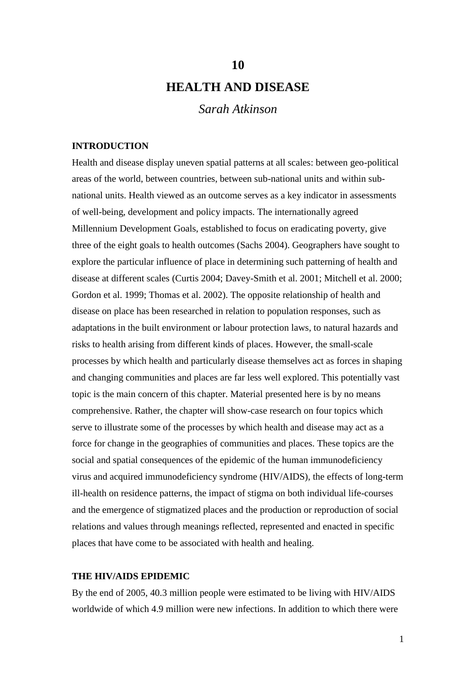# **HEALTH AND DISEASE**

**10**

*Sarah Atkinson*

### **INTRODUCTION**

Health and disease display uneven spatial patterns at all scales: between geo-political areas of the world, between countries, between sub-national units and within subnational units. Health viewed as an outcome serves as a key indicator in assessments of well-being, development and policy impacts. The internationally agreed Millennium Development Goals, established to focus on eradicating poverty, give three of the eight goals to health outcomes (Sachs 2004). Geographers have sought to explore the particular influence of place in determining such patterning of health and disease at different scales (Curtis 2004; Davey-Smith et al. 2001; Mitchell et al. 2000; Gordon et al. 1999; Thomas et al. 2002). The opposite relationship of health and disease on place has been researched in relation to population responses, such as adaptations in the built environment or labour protection laws, to natural hazards and risks to health arising from different kinds of places. However, the small-scale processes by which health and particularly disease themselves act as forces in shaping and changing communities and places are far less well explored. This potentially vast topic is the main concern of this chapter. Material presented here is by no means comprehensive. Rather, the chapter will show-case research on four topics which serve to illustrate some of the processes by which health and disease may act as a force for change in the geographies of communities and places. These topics are the social and spatial consequences of the epidemic of the human immunodeficiency virus and acquired immunodeficiency syndrome (HIV/AIDS), the effects of long-term ill-health on residence patterns, the impact of stigma on both individual life-courses and the emergence of stigmatized places and the production or reproduction of social relations and values through meanings reflected, represented and enacted in specific places that have come to be associated with health and healing.

### **THE HIV/AIDS EPIDEMIC**

By the end of 2005, 40.3 million people were estimated to be living with HIV/AIDS worldwide of which 4.9 million were new infections. In addition to which there were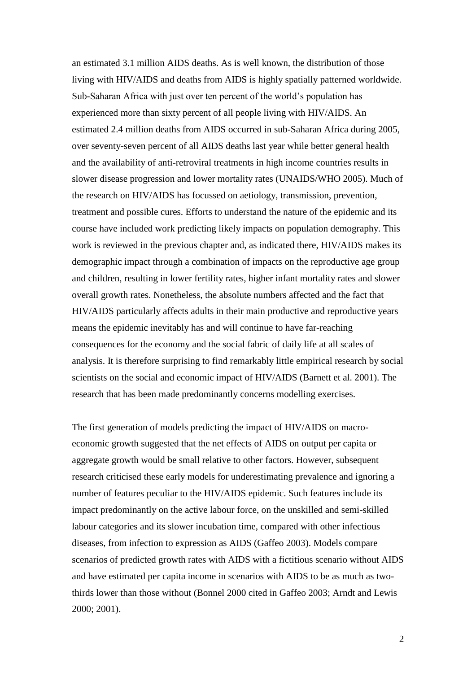an estimated 3.1 million AIDS deaths. As is well known, the distribution of those living with HIV/AIDS and deaths from AIDS is highly spatially patterned worldwide. Sub-Saharan Africa with just over ten percent of the world's population has experienced more than sixty percent of all people living with HIV/AIDS. An estimated 2.4 million deaths from AIDS occurred in sub-Saharan Africa during 2005, over seventy-seven percent of all AIDS deaths last year while better general health and the availability of anti-retroviral treatments in high income countries results in slower disease progression and lower mortality rates (UNAIDS/WHO 2005). Much of the research on HIV/AIDS has focussed on aetiology, transmission, prevention, treatment and possible cures. Efforts to understand the nature of the epidemic and its course have included work predicting likely impacts on population demography. This work is reviewed in the previous chapter and, as indicated there, HIV/AIDS makes its demographic impact through a combination of impacts on the reproductive age group and children, resulting in lower fertility rates, higher infant mortality rates and slower overall growth rates. Nonetheless, the absolute numbers affected and the fact that HIV/AIDS particularly affects adults in their main productive and reproductive years means the epidemic inevitably has and will continue to have far-reaching consequences for the economy and the social fabric of daily life at all scales of analysis. It is therefore surprising to find remarkably little empirical research by social scientists on the social and economic impact of HIV/AIDS (Barnett et al. 2001). The research that has been made predominantly concerns modelling exercises.

The first generation of models predicting the impact of HIV/AIDS on macroeconomic growth suggested that the net effects of AIDS on output per capita or aggregate growth would be small relative to other factors. However, subsequent research criticised these early models for underestimating prevalence and ignoring a number of features peculiar to the HIV/AIDS epidemic. Such features include its impact predominantly on the active labour force, on the unskilled and semi-skilled labour categories and its slower incubation time, compared with other infectious diseases, from infection to expression as AIDS (Gaffeo 2003). Models compare scenarios of predicted growth rates with AIDS with a fictitious scenario without AIDS and have estimated per capita income in scenarios with AIDS to be as much as twothirds lower than those without (Bonnel 2000 cited in Gaffeo 2003; Arndt and Lewis 2000; 2001).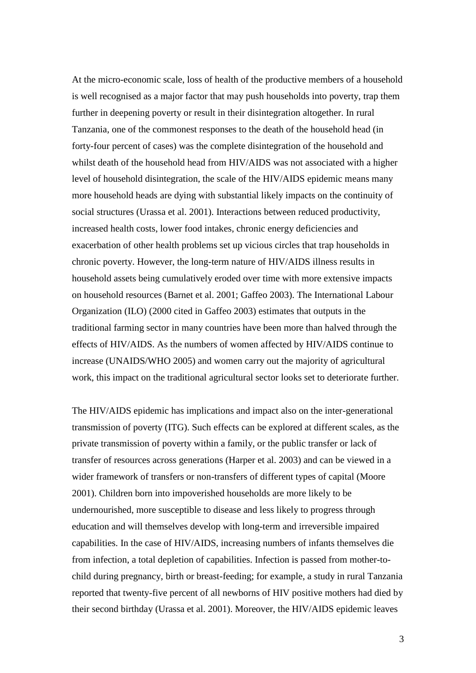At the micro-economic scale, loss of health of the productive members of a household is well recognised as a major factor that may push households into poverty, trap them further in deepening poverty or result in their disintegration altogether. In rural Tanzania, one of the commonest responses to the death of the household head (in forty-four percent of cases) was the complete disintegration of the household and whilst death of the household head from HIV/AIDS was not associated with a higher level of household disintegration, the scale of the HIV/AIDS epidemic means many more household heads are dying with substantial likely impacts on the continuity of social structures (Urassa et al. 2001). Interactions between reduced productivity, increased health costs, lower food intakes, chronic energy deficiencies and exacerbation of other health problems set up vicious circles that trap households in chronic poverty. However, the long-term nature of HIV/AIDS illness results in household assets being cumulatively eroded over time with more extensive impacts on household resources (Barnet et al. 2001; Gaffeo 2003). The International Labour Organization (ILO) (2000 cited in Gaffeo 2003) estimates that outputs in the traditional farming sector in many countries have been more than halved through the effects of HIV/AIDS. As the numbers of women affected by HIV/AIDS continue to increase (UNAIDS/WHO 2005) and women carry out the majority of agricultural work, this impact on the traditional agricultural sector looks set to deteriorate further.

The HIV/AIDS epidemic has implications and impact also on the inter-generational transmission of poverty (ITG). Such effects can be explored at different scales, as the private transmission of poverty within a family, or the public transfer or lack of transfer of resources across generations (Harper et al. 2003) and can be viewed in a wider framework of transfers or non-transfers of different types of capital (Moore 2001). Children born into impoverished households are more likely to be undernourished, more susceptible to disease and less likely to progress through education and will themselves develop with long-term and irreversible impaired capabilities. In the case of HIV/AIDS, increasing numbers of infants themselves die from infection, a total depletion of capabilities. Infection is passed from mother-tochild during pregnancy, birth or breast-feeding; for example, a study in rural Tanzania reported that twenty-five percent of all newborns of HIV positive mothers had died by their second birthday (Urassa et al. 2001). Moreover, the HIV/AIDS epidemic leaves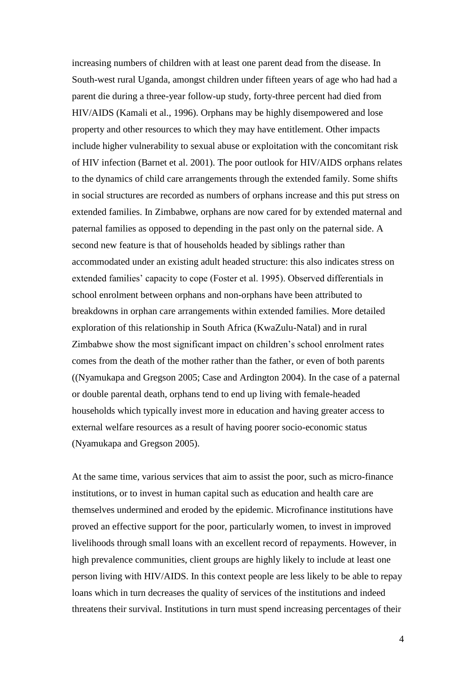increasing numbers of children with at least one parent dead from the disease. In South-west rural Uganda, amongst children under fifteen years of age who had had a parent die during a three-year follow-up study, forty-three percent had died from HIV/AIDS (Kamali et al., 1996). Orphans may be highly disempowered and lose property and other resources to which they may have entitlement. Other impacts include higher vulnerability to sexual abuse or exploitation with the concomitant risk of HIV infection (Barnet et al. 2001). The poor outlook for HIV/AIDS orphans relates to the dynamics of child care arrangements through the extended family. Some shifts in social structures are recorded as numbers of orphans increase and this put stress on extended families. In Zimbabwe, orphans are now cared for by extended maternal and paternal families as opposed to depending in the past only on the paternal side. A second new feature is that of households headed by siblings rather than accommodated under an existing adult headed structure: this also indicates stress on extended families' capacity to cope (Foster et al. 1995). Observed differentials in school enrolment between orphans and non-orphans have been attributed to breakdowns in orphan care arrangements within extended families. More detailed exploration of this relationship in South Africa (KwaZulu-Natal) and in rural Zimbabwe show the most significant impact on children's school enrolment rates comes from the death of the mother rather than the father, or even of both parents ((Nyamukapa and Gregson 2005; Case and Ardington 2004). In the case of a paternal or double parental death, orphans tend to end up living with female-headed households which typically invest more in education and having greater access to external welfare resources as a result of having poorer socio-economic status (Nyamukapa and Gregson 2005).

At the same time, various services that aim to assist the poor, such as micro-finance institutions, or to invest in human capital such as education and health care are themselves undermined and eroded by the epidemic. Microfinance institutions have proved an effective support for the poor, particularly women, to invest in improved livelihoods through small loans with an excellent record of repayments. However, in high prevalence communities, client groups are highly likely to include at least one person living with HIV/AIDS. In this context people are less likely to be able to repay loans which in turn decreases the quality of services of the institutions and indeed threatens their survival. Institutions in turn must spend increasing percentages of their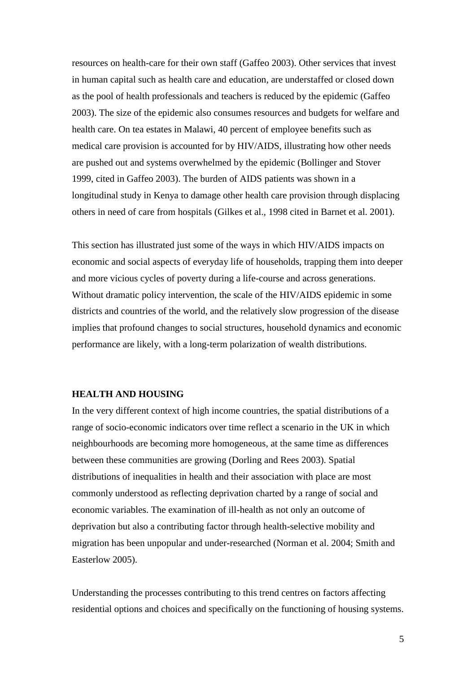resources on health-care for their own staff (Gaffeo 2003). Other services that invest in human capital such as health care and education, are understaffed or closed down as the pool of health professionals and teachers is reduced by the epidemic (Gaffeo 2003). The size of the epidemic also consumes resources and budgets for welfare and health care. On tea estates in Malawi, 40 percent of employee benefits such as medical care provision is accounted for by HIV/AIDS, illustrating how other needs are pushed out and systems overwhelmed by the epidemic (Bollinger and Stover 1999, cited in Gaffeo 2003). The burden of AIDS patients was shown in a longitudinal study in Kenya to damage other health care provision through displacing others in need of care from hospitals (Gilkes et al., 1998 cited in Barnet et al. 2001).

This section has illustrated just some of the ways in which HIV/AIDS impacts on economic and social aspects of everyday life of households, trapping them into deeper and more vicious cycles of poverty during a life-course and across generations. Without dramatic policy intervention, the scale of the HIV/AIDS epidemic in some districts and countries of the world, and the relatively slow progression of the disease implies that profound changes to social structures, household dynamics and economic performance are likely, with a long-term polarization of wealth distributions.

### **HEALTH AND HOUSING**

In the very different context of high income countries, the spatial distributions of a range of socio-economic indicators over time reflect a scenario in the UK in which neighbourhoods are becoming more homogeneous, at the same time as differences between these communities are growing (Dorling and Rees 2003). Spatial distributions of inequalities in health and their association with place are most commonly understood as reflecting deprivation charted by a range of social and economic variables. The examination of ill-health as not only an outcome of deprivation but also a contributing factor through health-selective mobility and migration has been unpopular and under-researched (Norman et al. 2004; Smith and Easterlow 2005).

Understanding the processes contributing to this trend centres on factors affecting residential options and choices and specifically on the functioning of housing systems.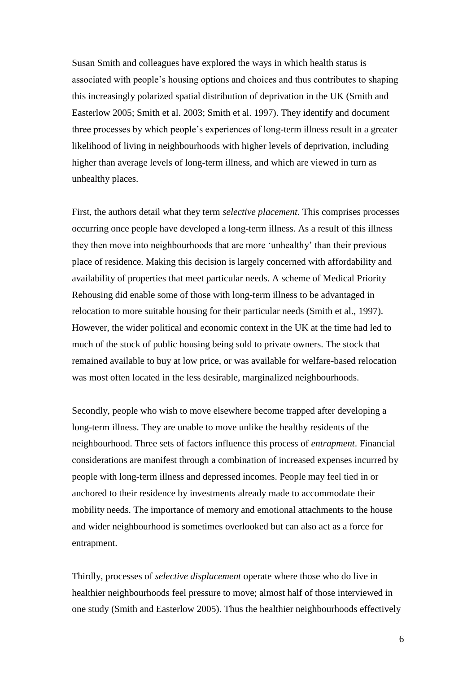Susan Smith and colleagues have explored the ways in which health status is associated with people's housing options and choices and thus contributes to shaping this increasingly polarized spatial distribution of deprivation in the UK (Smith and Easterlow 2005; Smith et al. 2003; Smith et al. 1997). They identify and document three processes by which people's experiences of long-term illness result in a greater likelihood of living in neighbourhoods with higher levels of deprivation, including higher than average levels of long-term illness, and which are viewed in turn as unhealthy places.

First, the authors detail what they term *selective placement*. This comprises processes occurring once people have developed a long-term illness. As a result of this illness they then move into neighbourhoods that are more 'unhealthy' than their previous place of residence. Making this decision is largely concerned with affordability and availability of properties that meet particular needs. A scheme of Medical Priority Rehousing did enable some of those with long-term illness to be advantaged in relocation to more suitable housing for their particular needs (Smith et al., 1997). However, the wider political and economic context in the UK at the time had led to much of the stock of public housing being sold to private owners. The stock that remained available to buy at low price, or was available for welfare-based relocation was most often located in the less desirable, marginalized neighbourhoods.

Secondly, people who wish to move elsewhere become trapped after developing a long-term illness. They are unable to move unlike the healthy residents of the neighbourhood. Three sets of factors influence this process of *entrapment*. Financial considerations are manifest through a combination of increased expenses incurred by people with long-term illness and depressed incomes. People may feel tied in or anchored to their residence by investments already made to accommodate their mobility needs. The importance of memory and emotional attachments to the house and wider neighbourhood is sometimes overlooked but can also act as a force for entrapment.

Thirdly, processes of *selective displacement* operate where those who do live in healthier neighbourhoods feel pressure to move; almost half of those interviewed in one study (Smith and Easterlow 2005). Thus the healthier neighbourhoods effectively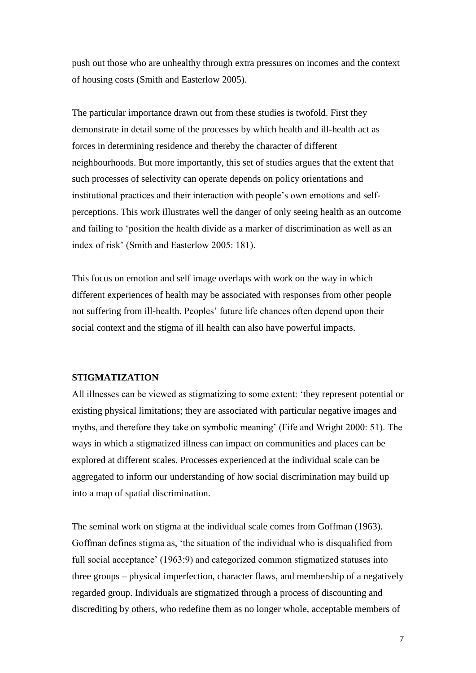push out those who are unhealthy through extra pressures on incomes and the context of housing costs (Smith and Easterlow 2005).

The particular importance drawn out from these studies is twofold. First they demonstrate in detail some of the processes by which health and ill-health act as forces in determining residence and thereby the character of different neighbourhoods. But more importantly, this set of studies argues that the extent that such processes of selectivity can operate depends on policy orientations and institutional practices and their interaction with people's own emotions and selfperceptions. This work illustrates well the danger of only seeing health as an outcome and failing to 'position the health divide as a marker of discrimination as well as an index of risk' (Smith and Easterlow 2005: 181).

This focus on emotion and self image overlaps with work on the way in which different experiences of health may be associated with responses from other people not suffering from ill-health. Peoples' future life chances often depend upon their social context and the stigma of ill health can also have powerful impacts.

### **STIGMATIZATION**

All illnesses can be viewed as stigmatizing to some extent: 'they represent potential or existing physical limitations; they are associated with particular negative images and myths, and therefore they take on symbolic meaning' (Fife and Wright 2000: 51). The ways in which a stigmatized illness can impact on communities and places can be explored at different scales. Processes experienced at the individual scale can be aggregated to inform our understanding of how social discrimination may build up into a map of spatial discrimination.

The seminal work on stigma at the individual scale comes from Goffman (1963). Goffman defines stigma as, 'the situation of the individual who is disqualified from full social acceptance' (1963:9) and categorized common stigmatized statuses into three groups – physical imperfection, character flaws, and membership of a negatively regarded group. Individuals are stigmatized through a process of discounting and discrediting by others, who redefine them as no longer whole, acceptable members of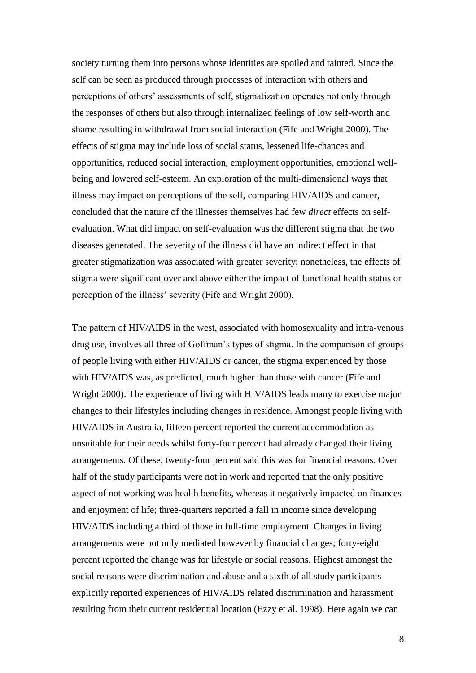society turning them into persons whose identities are spoiled and tainted. Since the self can be seen as produced through processes of interaction with others and perceptions of others' assessments of self, stigmatization operates not only through the responses of others but also through internalized feelings of low self-worth and shame resulting in withdrawal from social interaction (Fife and Wright 2000). The effects of stigma may include loss of social status, lessened life-chances and opportunities, reduced social interaction, employment opportunities, emotional wellbeing and lowered self-esteem. An exploration of the multi-dimensional ways that illness may impact on perceptions of the self, comparing HIV/AIDS and cancer, concluded that the nature of the illnesses themselves had few *direct* effects on selfevaluation. What did impact on self-evaluation was the different stigma that the two diseases generated. The severity of the illness did have an indirect effect in that greater stigmatization was associated with greater severity; nonetheless, the effects of stigma were significant over and above either the impact of functional health status or perception of the illness' severity (Fife and Wright 2000).

The pattern of HIV/AIDS in the west, associated with homosexuality and intra-venous drug use, involves all three of Goffman's types of stigma. In the comparison of groups of people living with either HIV/AIDS or cancer, the stigma experienced by those with HIV/AIDS was, as predicted, much higher than those with cancer (Fife and Wright 2000). The experience of living with HIV/AIDS leads many to exercise major changes to their lifestyles including changes in residence. Amongst people living with HIV/AIDS in Australia, fifteen percent reported the current accommodation as unsuitable for their needs whilst forty-four percent had already changed their living arrangements. Of these, twenty-four percent said this was for financial reasons. Over half of the study participants were not in work and reported that the only positive aspect of not working was health benefits, whereas it negatively impacted on finances and enjoyment of life; three-quarters reported a fall in income since developing HIV/AIDS including a third of those in full-time employment. Changes in living arrangements were not only mediated however by financial changes; forty-eight percent reported the change was for lifestyle or social reasons. Highest amongst the social reasons were discrimination and abuse and a sixth of all study participants explicitly reported experiences of HIV/AIDS related discrimination and harassment resulting from their current residential location (Ezzy et al. 1998). Here again we can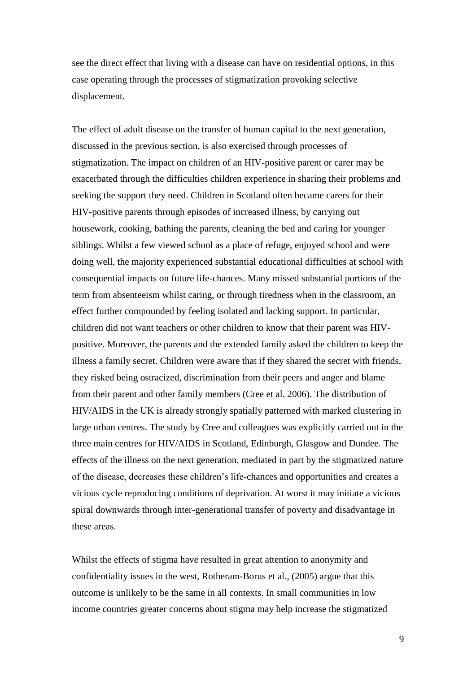see the direct effect that living with a disease can have on residential options, in this case operating through the processes of stigmatization provoking selective displacement.

The effect of adult disease on the transfer of human capital to the next generation, discussed in the previous section, is also exercised through processes of stigmatization. The impact on children of an HIV-positive parent or carer may be exacerbated through the difficulties children experience in sharing their problems and seeking the support they need. Children in Scotland often became carers for their HIV-positive parents through episodes of increased illness, by carrying out housework, cooking, bathing the parents, cleaning the bed and caring for younger siblings. Whilst a few viewed school as a place of refuge, enjoyed school and were doing well, the majority experienced substantial educational difficulties at school with consequential impacts on future life-chances. Many missed substantial portions of the term from absenteeism whilst caring, or through tiredness when in the classroom, an effect further compounded by feeling isolated and lacking support. In particular, children did not want teachers or other children to know that their parent was HIVpositive. Moreover, the parents and the extended family asked the children to keep the illness a family secret. Children were aware that if they shared the secret with friends, they risked being ostracized, discrimination from their peers and anger and blame from their parent and other family members (Cree et al. 2006). The distribution of HIV/AIDS in the UK is already strongly spatially patterned with marked clustering in large urban centres. The study by Cree and colleagues was explicitly carried out in the three main centres for HIV/AIDS in Scotland, Edinburgh, Glasgow and Dundee. The effects of the illness on the next generation, mediated in part by the stigmatized nature of the disease, decreases these children's life-chances and opportunities and creates a vicious cycle reproducing conditions of deprivation. At worst it may initiate a vicious spiral downwards through inter-generational transfer of poverty and disadvantage in these areas.

Whilst the effects of stigma have resulted in great attention to anonymity and confidentiality issues in the west, Rotheram-Borus et al., (2005) argue that this outcome is unlikely to be the same in all contexts. In small communities in low income countries greater concerns about stigma may help increase the stigmatized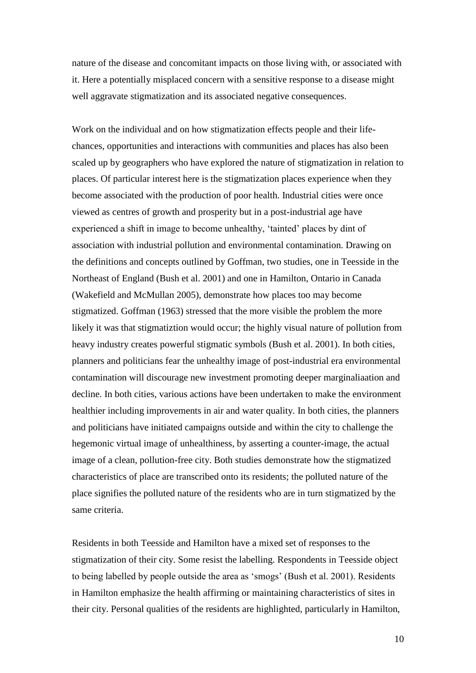nature of the disease and concomitant impacts on those living with, or associated with it. Here a potentially misplaced concern with a sensitive response to a disease might well aggravate stigmatization and its associated negative consequences.

Work on the individual and on how stigmatization effects people and their lifechances, opportunities and interactions with communities and places has also been scaled up by geographers who have explored the nature of stigmatization in relation to places. Of particular interest here is the stigmatization places experience when they become associated with the production of poor health. Industrial cities were once viewed as centres of growth and prosperity but in a post-industrial age have experienced a shift in image to become unhealthy, 'tainted' places by dint of association with industrial pollution and environmental contamination. Drawing on the definitions and concepts outlined by Goffman, two studies, one in Teesside in the Northeast of England (Bush et al. 2001) and one in Hamilton, Ontario in Canada (Wakefield and McMullan 2005), demonstrate how places too may become stigmatized. Goffman (1963) stressed that the more visible the problem the more likely it was that stigmatiztion would occur; the highly visual nature of pollution from heavy industry creates powerful stigmatic symbols (Bush et al. 2001). In both cities, planners and politicians fear the unhealthy image of post-industrial era environmental contamination will discourage new investment promoting deeper marginaliaation and decline. In both cities, various actions have been undertaken to make the environment healthier including improvements in air and water quality. In both cities, the planners and politicians have initiated campaigns outside and within the city to challenge the hegemonic virtual image of unhealthiness, by asserting a counter-image, the actual image of a clean, pollution-free city. Both studies demonstrate how the stigmatized characteristics of place are transcribed onto its residents; the polluted nature of the place signifies the polluted nature of the residents who are in turn stigmatized by the same criteria.

Residents in both Teesside and Hamilton have a mixed set of responses to the stigmatization of their city. Some resist the labelling. Respondents in Teesside object to being labelled by people outside the area as 'smogs' (Bush et al. 2001). Residents in Hamilton emphasize the health affirming or maintaining characteristics of sites in their city. Personal qualities of the residents are highlighted, particularly in Hamilton,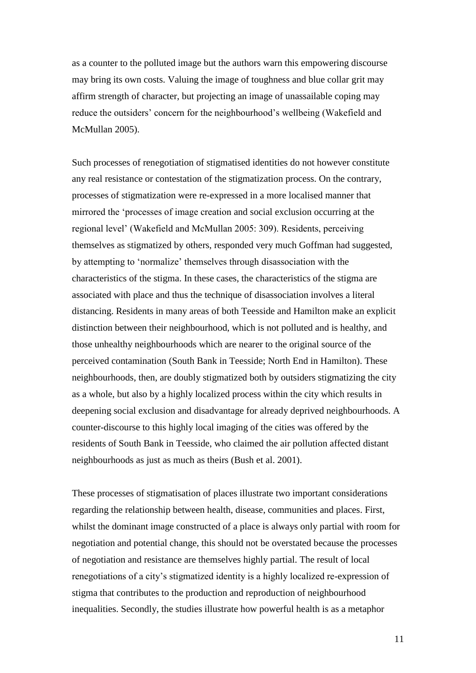as a counter to the polluted image but the authors warn this empowering discourse may bring its own costs. Valuing the image of toughness and blue collar grit may affirm strength of character, but projecting an image of unassailable coping may reduce the outsiders' concern for the neighbourhood's wellbeing (Wakefield and McMullan 2005).

Such processes of renegotiation of stigmatised identities do not however constitute any real resistance or contestation of the stigmatization process. On the contrary, processes of stigmatization were re-expressed in a more localised manner that mirrored the 'processes of image creation and social exclusion occurring at the regional level' (Wakefield and McMullan 2005: 309). Residents, perceiving themselves as stigmatized by others, responded very much Goffman had suggested, by attempting to 'normalize' themselves through disassociation with the characteristics of the stigma. In these cases, the characteristics of the stigma are associated with place and thus the technique of disassociation involves a literal distancing. Residents in many areas of both Teesside and Hamilton make an explicit distinction between their neighbourhood, which is not polluted and is healthy, and those unhealthy neighbourhoods which are nearer to the original source of the perceived contamination (South Bank in Teesside; North End in Hamilton). These neighbourhoods, then, are doubly stigmatized both by outsiders stigmatizing the city as a whole, but also by a highly localized process within the city which results in deepening social exclusion and disadvantage for already deprived neighbourhoods. A counter-discourse to this highly local imaging of the cities was offered by the residents of South Bank in Teesside, who claimed the air pollution affected distant neighbourhoods as just as much as theirs (Bush et al. 2001).

These processes of stigmatisation of places illustrate two important considerations regarding the relationship between health, disease, communities and places. First, whilst the dominant image constructed of a place is always only partial with room for negotiation and potential change, this should not be overstated because the processes of negotiation and resistance are themselves highly partial. The result of local renegotiations of a city's stigmatized identity is a highly localized re-expression of stigma that contributes to the production and reproduction of neighbourhood inequalities. Secondly, the studies illustrate how powerful health is as a metaphor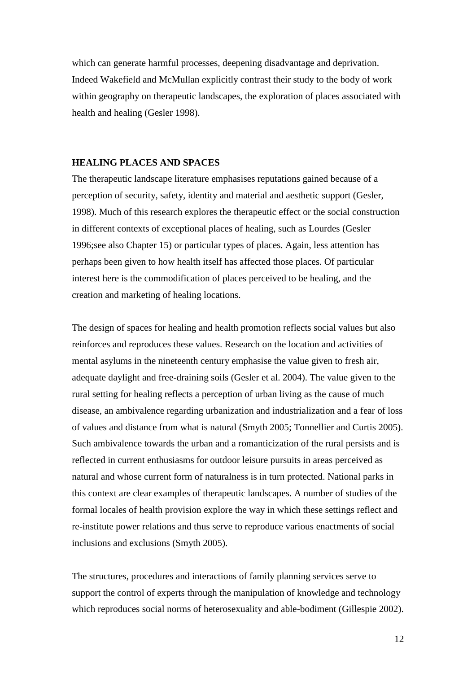which can generate harmful processes, deepening disadvantage and deprivation. Indeed Wakefield and McMullan explicitly contrast their study to the body of work within geography on therapeutic landscapes, the exploration of places associated with health and healing (Gesler 1998).

# **HEALING PLACES AND SPACES**

The therapeutic landscape literature emphasises reputations gained because of a perception of security, safety, identity and material and aesthetic support (Gesler, 1998). Much of this research explores the therapeutic effect or the social construction in different contexts of exceptional places of healing, such as Lourdes (Gesler 1996;see also Chapter 15) or particular types of places. Again, less attention has perhaps been given to how health itself has affected those places. Of particular interest here is the commodification of places perceived to be healing, and the creation and marketing of healing locations.

The design of spaces for healing and health promotion reflects social values but also reinforces and reproduces these values. Research on the location and activities of mental asylums in the nineteenth century emphasise the value given to fresh air, adequate daylight and free-draining soils (Gesler et al. 2004). The value given to the rural setting for healing reflects a perception of urban living as the cause of much disease, an ambivalence regarding urbanization and industrialization and a fear of loss of values and distance from what is natural (Smyth 2005; Tonnellier and Curtis 2005). Such ambivalence towards the urban and a romanticization of the rural persists and is reflected in current enthusiasms for outdoor leisure pursuits in areas perceived as natural and whose current form of naturalness is in turn protected. National parks in this context are clear examples of therapeutic landscapes. A number of studies of the formal locales of health provision explore the way in which these settings reflect and re-institute power relations and thus serve to reproduce various enactments of social inclusions and exclusions (Smyth 2005).

The structures, procedures and interactions of family planning services serve to support the control of experts through the manipulation of knowledge and technology which reproduces social norms of heterosexuality and able-bodiment (Gillespie 2002).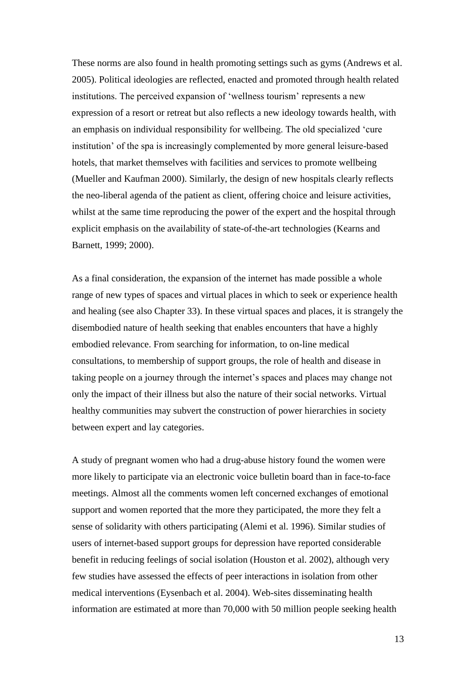These norms are also found in health promoting settings such as gyms (Andrews et al. 2005). Political ideologies are reflected, enacted and promoted through health related institutions. The perceived expansion of 'wellness tourism' represents a new expression of a resort or retreat but also reflects a new ideology towards health, with an emphasis on individual responsibility for wellbeing. The old specialized 'cure institution' of the spa is increasingly complemented by more general leisure-based hotels, that market themselves with facilities and services to promote wellbeing (Mueller and Kaufman 2000). Similarly, the design of new hospitals clearly reflects the neo-liberal agenda of the patient as client, offering choice and leisure activities, whilst at the same time reproducing the power of the expert and the hospital through explicit emphasis on the availability of state-of-the-art technologies (Kearns and Barnett, 1999; 2000).

As a final consideration, the expansion of the internet has made possible a whole range of new types of spaces and virtual places in which to seek or experience health and healing (see also Chapter 33). In these virtual spaces and places, it is strangely the disembodied nature of health seeking that enables encounters that have a highly embodied relevance. From searching for information, to on-line medical consultations, to membership of support groups, the role of health and disease in taking people on a journey through the internet's spaces and places may change not only the impact of their illness but also the nature of their social networks. Virtual healthy communities may subvert the construction of power hierarchies in society between expert and lay categories.

A study of pregnant women who had a drug-abuse history found the women were more likely to participate via an electronic voice bulletin board than in face-to-face meetings. Almost all the comments women left concerned exchanges of emotional support and women reported that the more they participated, the more they felt a sense of solidarity with others participating (Alemi et al. 1996). Similar studies of users of internet-based support groups for depression have reported considerable benefit in reducing feelings of social isolation (Houston et al. 2002), although very few studies have assessed the effects of peer interactions in isolation from other medical interventions (Eysenbach et al. 2004). Web-sites disseminating health information are estimated at more than 70,000 with 50 million people seeking health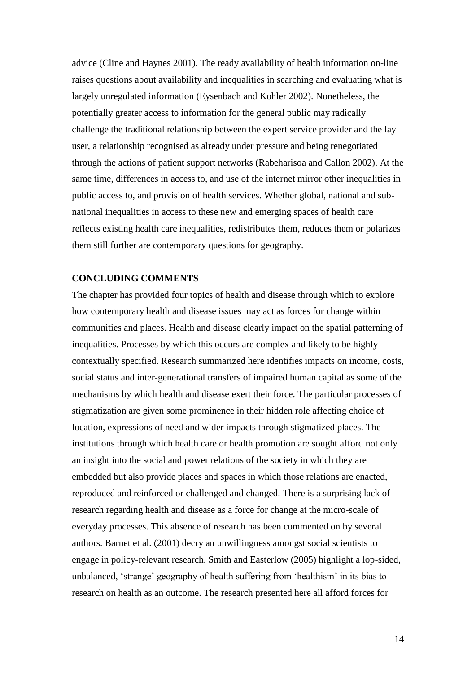advice (Cline and Haynes 2001). The ready availability of health information on-line raises questions about availability and inequalities in searching and evaluating what is largely unregulated information (Eysenbach and Kohler 2002). Nonetheless, the potentially greater access to information for the general public may radically challenge the traditional relationship between the expert service provider and the lay user, a relationship recognised as already under pressure and being renegotiated through the actions of patient support networks (Rabeharisoa and Callon 2002). At the same time, differences in access to, and use of the internet mirror other inequalities in public access to, and provision of health services. Whether global, national and subnational inequalities in access to these new and emerging spaces of health care reflects existing health care inequalities, redistributes them, reduces them or polarizes them still further are contemporary questions for geography.

### **CONCLUDING COMMENTS**

The chapter has provided four topics of health and disease through which to explore how contemporary health and disease issues may act as forces for change within communities and places. Health and disease clearly impact on the spatial patterning of inequalities. Processes by which this occurs are complex and likely to be highly contextually specified. Research summarized here identifies impacts on income, costs, social status and inter-generational transfers of impaired human capital as some of the mechanisms by which health and disease exert their force. The particular processes of stigmatization are given some prominence in their hidden role affecting choice of location, expressions of need and wider impacts through stigmatized places. The institutions through which health care or health promotion are sought afford not only an insight into the social and power relations of the society in which they are embedded but also provide places and spaces in which those relations are enacted, reproduced and reinforced or challenged and changed. There is a surprising lack of research regarding health and disease as a force for change at the micro-scale of everyday processes. This absence of research has been commented on by several authors. Barnet et al. (2001) decry an unwillingness amongst social scientists to engage in policy-relevant research. Smith and Easterlow (2005) highlight a lop-sided, unbalanced, 'strange' geography of health suffering from 'healthism' in its bias to research on health as an outcome. The research presented here all afford forces for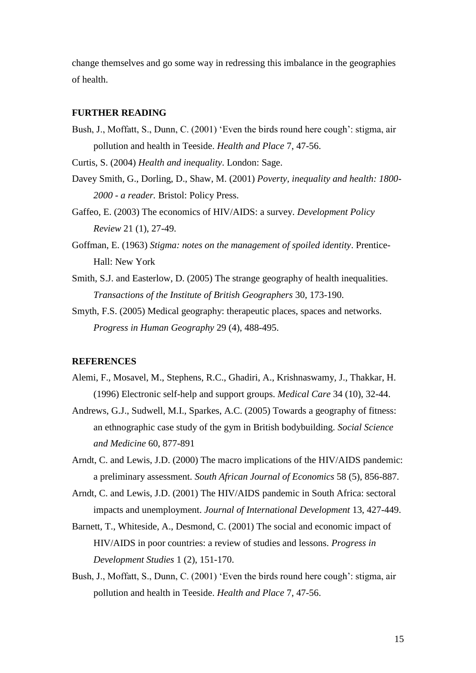change themselves and go some way in redressing this imbalance in the geographies of health.

# **FURTHER READING**

Bush, J., Moffatt, S., Dunn, C. (2001) 'Even the birds round here cough': stigma, air pollution and health in Teeside. *Health and Place* 7, 47-56.

Curtis, S. (2004) *Health and inequality*. London: Sage.

- Davey Smith, G., Dorling, D., Shaw, M. (2001) *Poverty, inequality and health: 1800- 2000 - a reader.* Bristol: Policy Press.
- Gaffeo, E. (2003) The economics of HIV/AIDS: a survey. *Development Policy Review* 21 (1), 27-49.
- Goffman, E. (1963) *Stigma: notes on the management of spoiled identity*. Prentice-Hall: New York
- Smith, S.J. and Easterlow, D. (2005) The strange geography of health inequalities. *Transactions of the Institute of British Geographers* 30, 173-190.
- Smyth, F.S. (2005) Medical geography: therapeutic places, spaces and networks. *Progress in Human Geography* 29 (4), 488-495.

### **REFERENCES**

- Alemi, F., Mosavel, M., Stephens, R.C., Ghadiri, A., Krishnaswamy, J., Thakkar, H. (1996) Electronic self-help and support groups. *Medical Care* 34 (10), 32-44.
- Andrews, G.J., Sudwell, M.I., Sparkes, A.C. (2005) Towards a geography of fitness: an ethnographic case study of the gym in British bodybuilding. *Social Science and Medicine* 60, 877-891
- Arndt, C. and Lewis, J.D. (2000) The macro implications of the HIV/AIDS pandemic: a preliminary assessment. *South African Journal of Economics* 58 (5), 856-887.
- Arndt, C. and Lewis, J.D. (2001) The HIV/AIDS pandemic in South Africa: sectoral impacts and unemployment. *Journal of International Development* 13, 427-449.
- Barnett, T., Whiteside, A., Desmond, C. (2001) The social and economic impact of HIV/AIDS in poor countries: a review of studies and lessons. *Progress in Development Studies* 1 (2), 151-170.
- Bush, J., Moffatt, S., Dunn, C. (2001) 'Even the birds round here cough': stigma, air pollution and health in Teeside. *Health and Place* 7, 47-56.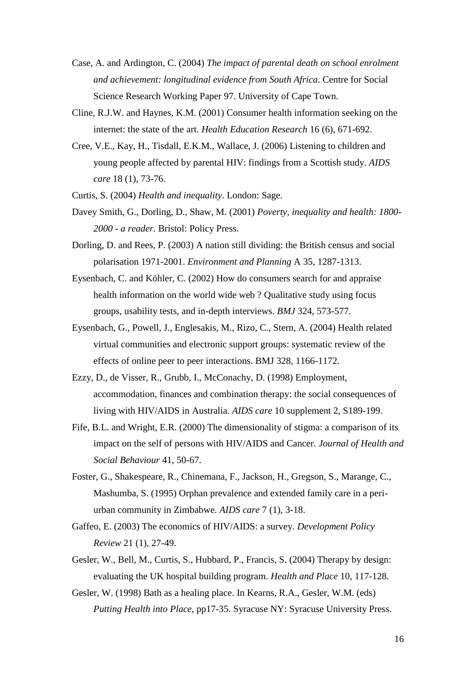- Case, A. and Ardington, C. (2004) *The impact of parental death on school enrolment and achievement: longitudinal evidence from South Africa*. Centre for Social Science Research Working Paper 97. University of Cape Town.
- Cline, R.J.W. and Haynes, K.M. (2001) Consumer health information seeking on the internet: the state of the art. *Health Education Research* 16 (6), 671-692.
- Cree, V.E., Kay, H., Tisdall, E.K.M., Wallace, J. (2006) Listening to children and young people affected by parental HIV: findings from a Scottish study. *AIDS care* 18 (1), 73-76.
- Curtis, S. (2004) *Health and inequality*. London: Sage.
- Davey Smith, G., Dorling, D., Shaw, M. (2001) *Poverty, inequality and health: 1800- 2000 - a reader.* Bristol: Policy Press.
- Dorling, D. and Rees, P. (2003) A nation still dividing: the British census and social polarisation 1971-2001. *Environment and Planning* A 35, 1287-1313.
- Eysenbach, C. and Köhler, C. (2002) How do consumers search for and appraise health information on the world wide web ? Qualitative study using focus groups, usability tests, and in-depth interviews. *BMJ* 324, 573-577.
- Eysenbach, G., Powell, J., Englesakis, M., Rizo, C., Stern, A. (2004) Health related virtual communities and electronic support groups: systematic review of the effects of online peer to peer interactions. BMJ 328, 1166-1172.
- Ezzy, D., de Visser, R., Grubb, I., McConachy, D. (1998) Employment, accommodation, finances and combination therapy: the social consequences of living with HIV/AIDS in Australia. *AIDS care* 10 supplement 2, S189-199.
- Fife, B.L. and Wright, E.R. (2000) The dimensionality of stigma: a comparison of its impact on the self of persons with HIV/AIDS and Cancer. *Journal of Health and Social Behaviour* 41, 50-67.
- Foster, G., Shakespeare, R., Chinemana, F., Jackson, H., Gregson, S., Marange, C., Mashumba, S. (1995) Orphan prevalence and extended family care in a periurban community in Zimbabwe. *AIDS care* 7 (1), 3-18.
- Gaffeo, E. (2003) The economics of HIV/AIDS: a survey. *Development Policy Review* 21 (1), 27-49.
- Gesler, W., Bell, M., Curtis, S., Hubbard, P., Francis, S. (2004) Therapy by design: evaluating the UK hospital building program. *Health and Place* 10, 117-128.
- Gesler, W. (1998) Bath as a healing place. In Kearns, R.A., Gesler, W.M. (eds) *Putting Health into Place*, pp17-35. Syracuse NY: Syracuse University Press.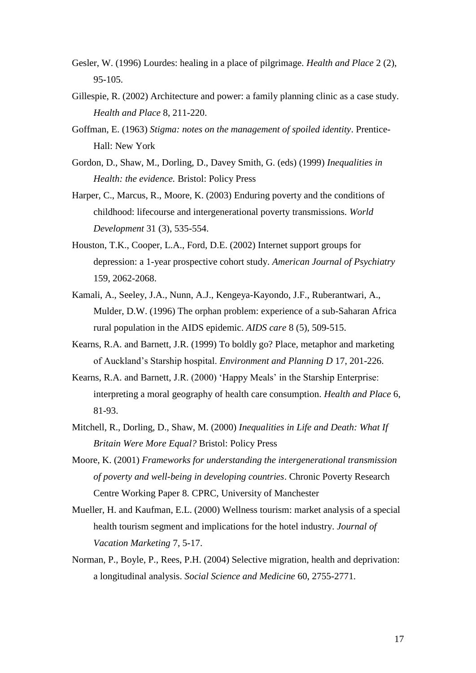- Gesler, W. (1996) Lourdes: healing in a place of pilgrimage. *Health and Place* 2 (2), 95-105.
- Gillespie, R. (2002) Architecture and power: a family planning clinic as a case study. *Health and Place* 8, 211-220.
- Goffman, E. (1963) *Stigma: notes on the management of spoiled identity*. Prentice-Hall: New York
- Gordon, D., Shaw, M., Dorling, D., Davey Smith, G. (eds) (1999) *Inequalities in Health: the evidence.* Bristol: Policy Press
- Harper, C., Marcus, R., Moore, K. (2003) Enduring poverty and the conditions of childhood: lifecourse and intergenerational poverty transmissions. *World Development* 31 (3), 535-554.
- Houston, T.K., Cooper, L.A., Ford, D.E. (2002) Internet support groups for depression: a 1-year prospective cohort study. *American Journal of Psychiatry* 159, 2062-2068.
- Kamali, A., Seeley, J.A., Nunn, A.J., Kengeya-Kayondo, J.F., Ruberantwari, A., Mulder, D.W. (1996) The orphan problem: experience of a sub-Saharan Africa rural population in the AIDS epidemic. *AIDS care* 8 (5), 509-515.
- Kearns, R.A. and Barnett, J.R. (1999) To boldly go? Place, metaphor and marketing of Auckland's Starship hospital. *Environment and Planning D* 17, 201-226.
- Kearns, R.A. and Barnett, J.R. (2000) 'Happy Meals' in the Starship Enterprise: interpreting a moral geography of health care consumption. *Health and Place* 6, 81-93.
- Mitchell, R., Dorling, D., Shaw, M. (2000) *Inequalities in Life and Death: What If Britain Were More Equal?* Bristol: Policy Press
- Moore, K. (2001) *Frameworks for understanding the intergenerational transmission of poverty and well-being in developing countries*. Chronic Poverty Research Centre Working Paper 8. CPRC, University of Manchester
- Mueller, H. and Kaufman, E.L. (2000) Wellness tourism: market analysis of a special health tourism segment and implications for the hotel industry. *Journal of Vacation Marketing* 7, 5-17.
- Norman, P., Boyle, P., Rees, P.H. (2004) Selective migration, health and deprivation: a longitudinal analysis. *Social Science and Medicine* 60, 2755-2771.